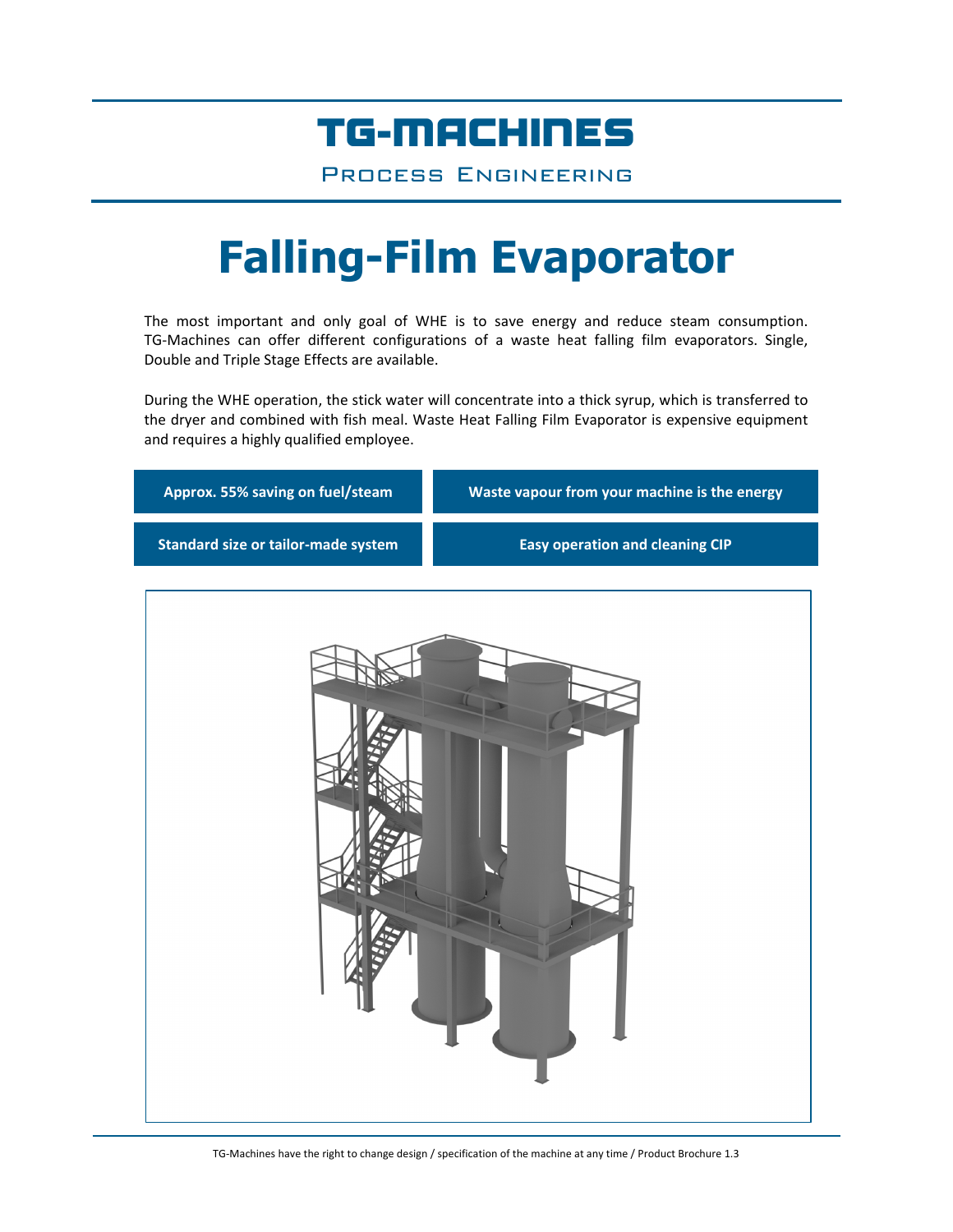## TG-MACHINES

Process Engineering

# **Falling-Film Evaporator**

The most important and only goal of WHE is to save energy and reduce steam consumption. TG‐Machines can offer different configurations of a waste heat falling film evaporators. Single, Double and Triple Stage Effects are available.

During the WHE operation, the stick water will concentrate into a thick syrup, which is transferred to the dryer and combined with fish meal. Waste Heat Falling Film Evaporator is expensive equipment and requires a highly qualified employee.